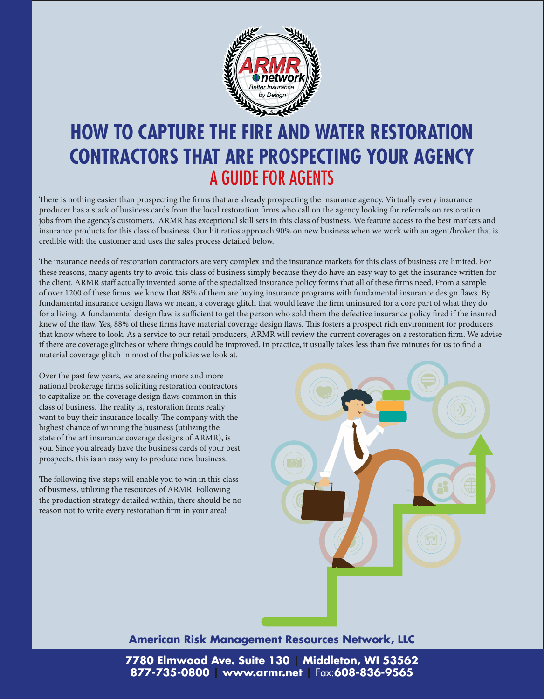

# **HOW TO CAPTURE THE FIRE AND WATER RESTORATION CONTRACTORS THAT ARE PROSPECTING YOUR AGENCY**  A GUIDE FOR AGENTS

There is nothing easier than prospecting the firms that are already prospecting the insurance agency. Virtually every insurance producer has a stack of business cards from the local restoration firms who call on the agency looking for referrals on restoration jobs from the agency's customers. ARMR has exceptional skill sets in this class of business. We feature access to the best markets and insurance products for this class of business. Our hit ratios approach 90% on new business when we work with an agent/broker that is credible with the customer and uses the sales process detailed below.

The insurance needs of restoration contractors are very complex and the insurance markets for this class of business are limited. For these reasons, many agents try to avoid this class of business simply because they do have an easy way to get the insurance written for the client. ARMR staff actually invented some of the specialized insurance policy forms that all of these firms need. From a sample of over 1200 of these firms, we know that 88% of them are buying insurance programs with fundamental insurance design flaws. By fundamental insurance design flaws we mean, a coverage glitch that would leave the firm uninsured for a core part of what they do for a living. A fundamental design flaw is sufficient to get the person who sold them the defective insurance policy fired if the insured knew of the flaw. Yes, 88% of these firms have material coverage design flaws. This fosters a prospect rich environment for producers that know where to look. As a service to our retail producers, ARMR will review the current coverages on a restoration firm. We advise if there are coverage glitches or where things could be improved. In practice, it usually takes less than five minutes for us to find a material coverage glitch in most of the policies we look at.

Over the past few years, we are seeing more and more national brokerage firms soliciting restoration contractors to capitalize on the coverage design flaws common in this class of business. The reality is, restoration firms really want to buy their insurance locally. The company with the highest chance of winning the business (utilizing the state of the art insurance coverage designs of ARMR), is you. Since you already have the business cards of your best prospects, this is an easy way to produce new business.

The following five steps will enable you to win in this class of business, utilizing the resources of ARMR. Following the production strategy detailed within, there should be no reason not to write every restoration firm in your area!



### **American Risk Management Resources Network, LLC**

**7780 Elmwood Ave. Suite 130 | Middleton, WI 53562 877-735-0800 | www.armr.net |** Fax:**608-836-9565**